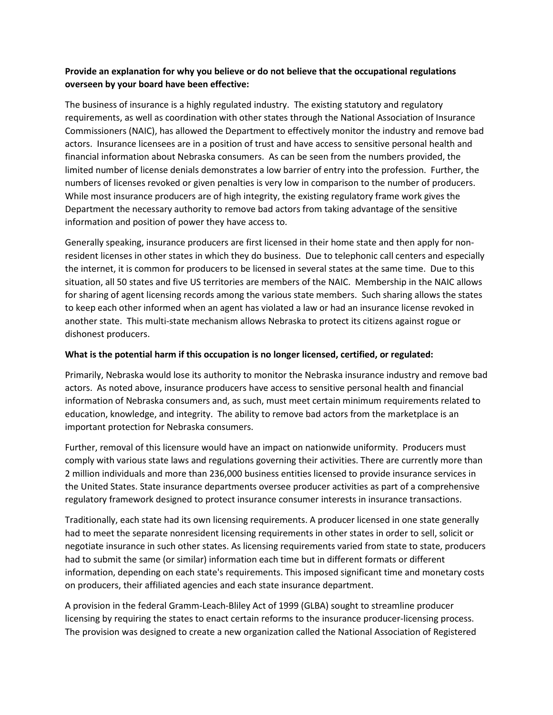## **Provide an explanation for why you believe or do not believe that the occupational regulations overseen by your board have been effective:**

The business of insurance is a highly regulated industry. The existing statutory and regulatory requirements, as well as coordination with other states through the National Association of Insurance Commissioners (NAIC), has allowed the Department to effectively monitor the industry and remove bad actors. Insurance licensees are in a position of trust and have access to sensitive personal health and financial information about Nebraska consumers. As can be seen from the numbers provided, the limited number of license denials demonstrates a low barrier of entry into the profession. Further, the numbers of licenses revoked or given penalties is very low in comparison to the number of producers. While most insurance producers are of high integrity, the existing regulatory frame work gives the Department the necessary authority to remove bad actors from taking advantage of the sensitive information and position of power they have access to.

Generally speaking, insurance producers are first licensed in their home state and then apply for nonresident licenses in other states in which they do business. Due to telephonic call centers and especially the internet, it is common for producers to be licensed in several states at the same time. Due to this situation, all 50 states and five US territories are members of the NAIC. Membership in the NAIC allows for sharing of agent licensing records among the various state members. Such sharing allows the states to keep each other informed when an agent has violated a law or had an insurance license revoked in another state. This multi-state mechanism allows Nebraska to protect its citizens against rogue or dishonest producers.

## **What is the potential harm if this occupation is no longer licensed, certified, or regulated:**

Primarily, Nebraska would lose its authority to monitor the Nebraska insurance industry and remove bad actors. As noted above, insurance producers have access to sensitive personal health and financial information of Nebraska consumers and, as such, must meet certain minimum requirements related to education, knowledge, and integrity. The ability to remove bad actors from the marketplace is an important protection for Nebraska consumers.

Further, removal of this licensure would have an impact on nationwide uniformity. Producers must comply with various state laws and regulations governing their activities. There are currently more than 2 million individuals and more than 236,000 business entities licensed to provide insurance services in the United States. State insurance departments oversee producer activities as part of a comprehensive regulatory framework designed to protect insurance consumer interests in insurance transactions.

Traditionally, each state had its own licensing requirements. A producer licensed in one state generally had to meet the separate nonresident licensing requirements in other states in order to sell, solicit or negotiate insurance in such other states. As licensing requirements varied from state to state, producers had to submit the same (or similar) information each time but in different formats or different information, depending on each state's requirements. This imposed significant time and monetary costs on producers, their affiliated agencies and each state insurance department.

A provision in the federal Gramm-Leach-Bliley Act of 1999 (GLBA) sought to streamline producer licensing by requiring the states to enact certain reforms to the insurance producer-licensing process. The provision was designed to create a new organization called the National Association of Registered